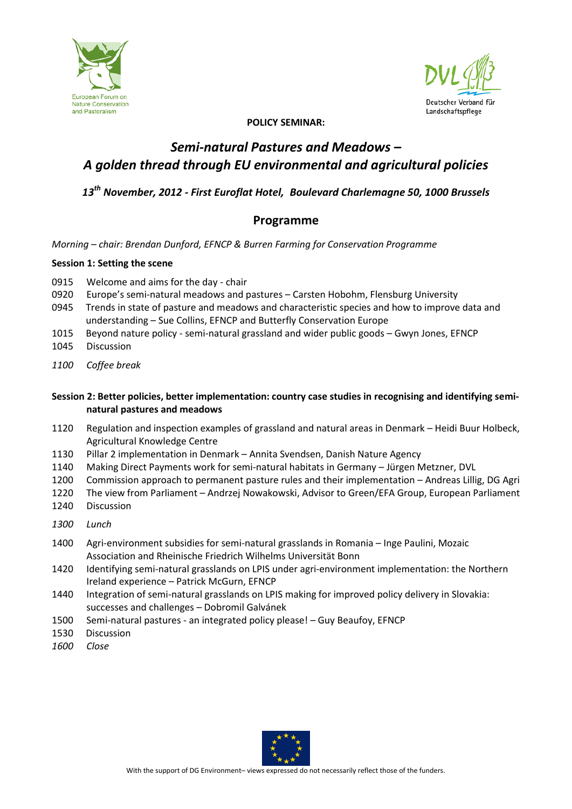



#### **POLICY SEMINAR:**

# *Semi-natural Pastures and Meadows – A golden thread through EU environmental and agricultural policies*

*13th November, 2012 - First Euroflat Hotel, Boulevard Charlemagne 50, 1000 Brussels*

## **Programme**

*Morning – chair: Brendan Dunford, EFNCP & Burren Farming for Conservation Programme*

#### **Session 1: Setting the scene**

- 0915 Welcome and aims for the day chair
- 0920 Europe's semi-natural meadows and pastures Carsten Hobohm, Flensburg University
- 0945 Trends in state of pasture and meadows and characteristic species and how to improve data and understanding – Sue Collins, EFNCP and Butterfly Conservation Europe
- 1015 Beyond nature policy semi-natural grassland and wider public goods Gwyn Jones, EFNCP
- 1045 Discussion
- *1100 Coffee break*

### **Session 2: Better policies, better implementation: country case studies in recognising and identifying seminatural pastures and meadows**

- 1120 Regulation and inspection examples of grassland and natural areas in Denmark Heidi Buur Holbeck, Agricultural Knowledge Centre
- 1130 Pillar 2 implementation in Denmark Annita Svendsen, Danish Nature Agency
- 1140 Making Direct Payments work for semi-natural habitats in Germany Jürgen Metzner, DVL
- 1200 Commission approach to permanent pasture rules and their implementation Andreas Lillig, DG Agri
- 1220 The view from Parliament Andrzej Nowakowski, Advisor to Green/EFA Group, European Parliament
- 1240 Discussion
- *1300 Lunch*
- 1400 Agri-environment subsidies for semi-natural grasslands in Romania Inge Paulini, Mozaic Association and Rheinische Friedrich Wilhelms Universität Bonn
- 1420 Identifying semi-natural grasslands on LPIS under agri-environment implementation: the Northern Ireland experience – Patrick McGurn, EFNCP
- 1440 Integration of semi-natural grasslands on LPIS making for improved policy delivery in Slovakia: successes and challenges – Dobromil Galvánek
- 1500 Semi-natural pastures an integrated policy please! Guy Beaufoy, EFNCP
- 1530 Discussion
- *1600 Close*

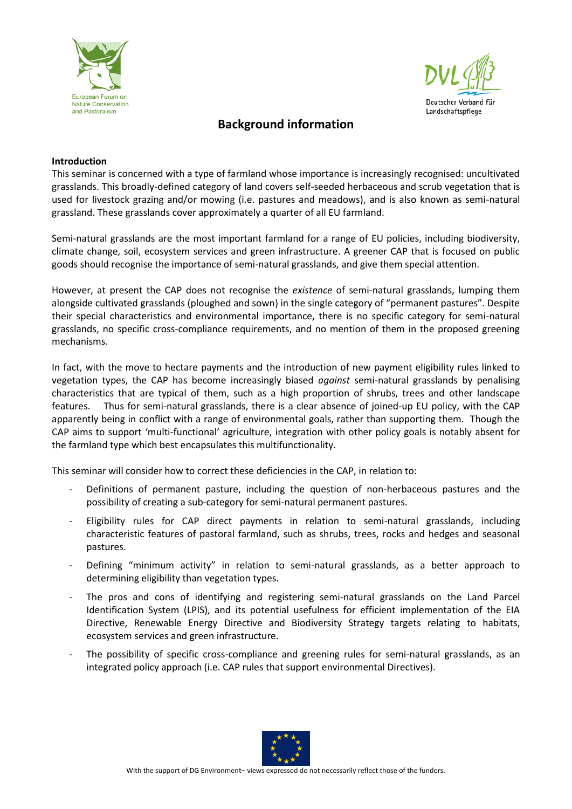



## **Background information**

#### **Introduction**

This seminar is concerned with a type of farmland whose importance is increasingly recognised: uncultivated grasslands. This broadly-defined category of land covers self-seeded herbaceous and scrub vegetation that is used for livestock grazing and/or mowing (i.e. pastures and meadows), and is also known as semi-natural grassland. These grasslands cover approximately a quarter of all EU farmland.

Semi-natural grasslands are the most important farmland for a range of EU policies, including biodiversity, climate change, soil, ecosystem services and green infrastructure. A greener CAP that is focused on public goods should recognise the importance of semi-natural grasslands, and give them special attention.

However, at present the CAP does not recognise the *existence* of semi-natural grasslands, lumping them alongside cultivated grasslands (ploughed and sown) in the single category of "permanent pastures". Despite their special characteristics and environmental importance, there is no specific category for semi-natural grasslands, no specific cross-compliance requirements, and no mention of them in the proposed greening mechanisms.

In fact, with the move to hectare payments and the introduction of new payment eligibility rules linked to vegetation types, the CAP has become increasingly biased *against* semi-natural grasslands by penalising characteristics that are typical of them, such as a high proportion of shrubs, trees and other landscape features. Thus for semi-natural grasslands, there is a clear absence of joined-up EU policy, with the CAP apparently being in conflict with a range of environmental goals, rather than supporting them. Though the CAP aims to support 'multi-functional' agriculture, integration with other policy goals is notably absent for the farmland type which best encapsulates this multifunctionality.

This seminar will consider how to correct these deficiencies in the CAP, in relation to:

- Definitions of permanent pasture, including the question of non-herbaceous pastures and the possibility of creating a sub-category for semi-natural permanent pastures.
- Eligibility rules for CAP direct payments in relation to semi-natural grasslands, including characteristic features of pastoral farmland, such as shrubs, trees, rocks and hedges and seasonal pastures.
- Defining "minimum activity" in relation to semi-natural grasslands, as a better approach to determining eligibility than vegetation types.
- The pros and cons of identifying and registering semi-natural grasslands on the Land Parcel Identification System (LPIS), and its potential usefulness for efficient implementation of the EIA Directive, Renewable Energy Directive and Biodiversity Strategy targets relating to habitats, ecosystem services and green infrastructure.
- The possibility of specific cross-compliance and greening rules for semi-natural grasslands, as an integrated policy approach (i.e. CAP rules that support environmental Directives).

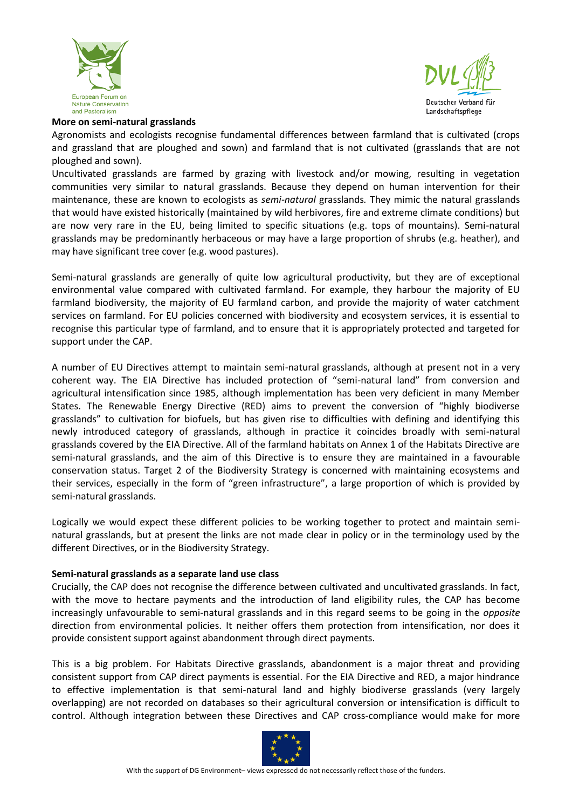



#### **More on semi-natural grasslands**

Agronomists and ecologists recognise fundamental differences between farmland that is cultivated (crops and grassland that are ploughed and sown) and farmland that is not cultivated (grasslands that are not ploughed and sown).

Uncultivated grasslands are farmed by grazing with livestock and/or mowing, resulting in vegetation communities very similar to natural grasslands. Because they depend on human intervention for their maintenance, these are known to ecologists as *semi-natural* grasslands*.* They mimic the natural grasslands that would have existed historically (maintained by wild herbivores, fire and extreme climate conditions) but are now very rare in the EU, being limited to specific situations (e.g. tops of mountains). Semi-natural grasslands may be predominantly herbaceous or may have a large proportion of shrubs (e.g. heather), and may have significant tree cover (e.g. wood pastures).

Semi-natural grasslands are generally of quite low agricultural productivity, but they are of exceptional environmental value compared with cultivated farmland. For example, they harbour the majority of EU farmland biodiversity, the majority of EU farmland carbon, and provide the majority of water catchment services on farmland. For EU policies concerned with biodiversity and ecosystem services, it is essential to recognise this particular type of farmland, and to ensure that it is appropriately protected and targeted for support under the CAP.

A number of EU Directives attempt to maintain semi-natural grasslands, although at present not in a very coherent way. The EIA Directive has included protection of "semi-natural land" from conversion and agricultural intensification since 1985, although implementation has been very deficient in many Member States. The Renewable Energy Directive (RED) aims to prevent the conversion of "highly biodiverse grasslands" to cultivation for biofuels, but has given rise to difficulties with defining and identifying this newly introduced category of grasslands, although in practice it coincides broadly with semi-natural grasslands covered by the EIA Directive. All of the farmland habitats on Annex 1 of the Habitats Directive are semi-natural grasslands, and the aim of this Directive is to ensure they are maintained in a favourable conservation status. Target 2 of the Biodiversity Strategy is concerned with maintaining ecosystems and their services, especially in the form of "green infrastructure", a large proportion of which is provided by semi-natural grasslands.

Logically we would expect these different policies to be working together to protect and maintain seminatural grasslands, but at present the links are not made clear in policy or in the terminology used by the different Directives, or in the Biodiversity Strategy.

## **Semi-natural grasslands as a separate land use class**

Crucially, the CAP does not recognise the difference between cultivated and uncultivated grasslands. In fact, with the move to hectare payments and the introduction of land eligibility rules, the CAP has become increasingly unfavourable to semi-natural grasslands and in this regard seems to be going in the *opposite* direction from environmental policies. It neither offers them protection from intensification, nor does it provide consistent support against abandonment through direct payments.

This is a big problem. For Habitats Directive grasslands, abandonment is a major threat and providing consistent support from CAP direct payments is essential. For the EIA Directive and RED, a major hindrance to effective implementation is that semi-natural land and highly biodiverse grasslands (very largely overlapping) are not recorded on databases so their agricultural conversion or intensification is difficult to control. Although integration between these Directives and CAP cross-compliance would make for more

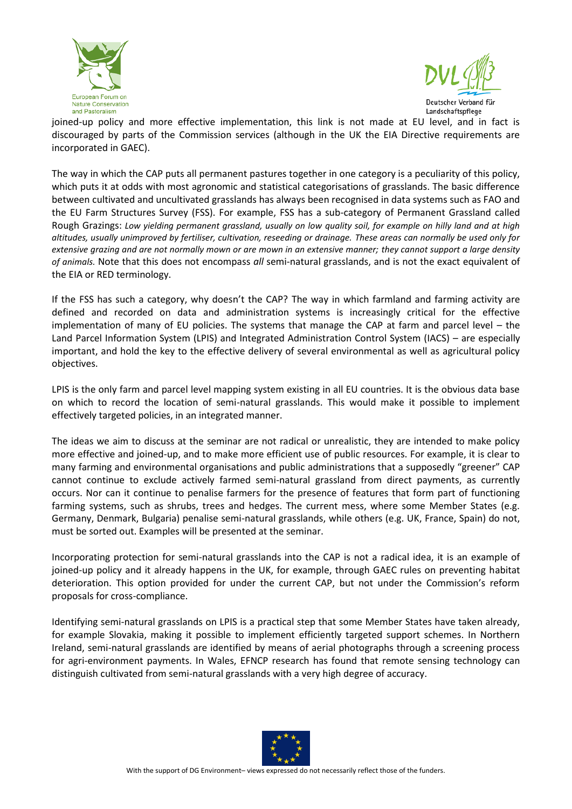



joined-up policy and more effective implementation, this link is not made at EU level, and in fact is discouraged by parts of the Commission services (although in the UK the EIA Directive requirements are incorporated in GAEC).

The way in which the CAP puts all permanent pastures together in one category is a peculiarity of this policy, which puts it at odds with most agronomic and statistical categorisations of grasslands. The basic difference between cultivated and uncultivated grasslands has always been recognised in data systems such as FAO and the EU Farm Structures Survey (FSS). For example, FSS has a sub-category of Permanent Grassland called Rough Grazings: *Low yielding permanent grassland, usually on low quality soil, for example on hilly land and at high altitudes, usually unimproved by fertiliser, cultivation, reseeding or drainage. These areas can normally be used only for extensive grazing and are not normally mown or are mown in an extensive manner; they cannot support a large density of animals.* Note that this does not encompass *all* semi-natural grasslands, and is not the exact equivalent of the EIA or RED terminology.

If the FSS has such a category, why doesn't the CAP? The way in which farmland and farming activity are defined and recorded on data and administration systems is increasingly critical for the effective implementation of many of EU policies. The systems that manage the CAP at farm and parcel level – the Land Parcel Information System (LPIS) and Integrated Administration Control System (IACS) – are especially important, and hold the key to the effective delivery of several environmental as well as agricultural policy objectives.

LPIS is the only farm and parcel level mapping system existing in all EU countries. It is the obvious data base on which to record the location of semi-natural grasslands. This would make it possible to implement effectively targeted policies, in an integrated manner.

The ideas we aim to discuss at the seminar are not radical or unrealistic, they are intended to make policy more effective and joined-up, and to make more efficient use of public resources. For example, it is clear to many farming and environmental organisations and public administrations that a supposedly "greener" CAP cannot continue to exclude actively farmed semi-natural grassland from direct payments, as currently occurs. Nor can it continue to penalise farmers for the presence of features that form part of functioning farming systems, such as shrubs, trees and hedges. The current mess, where some Member States (e.g. Germany, Denmark, Bulgaria) penalise semi-natural grasslands, while others (e.g. UK, France, Spain) do not, must be sorted out. Examples will be presented at the seminar.

Incorporating protection for semi-natural grasslands into the CAP is not a radical idea, it is an example of joined-up policy and it already happens in the UK, for example, through GAEC rules on preventing habitat deterioration. This option provided for under the current CAP, but not under the Commission's reform proposals for cross-compliance.

Identifying semi-natural grasslands on LPIS is a practical step that some Member States have taken already, for example Slovakia, making it possible to implement efficiently targeted support schemes. In Northern Ireland, semi-natural grasslands are identified by means of aerial photographs through a screening process for agri-environment payments. In Wales, EFNCP research has found that remote sensing technology can distinguish cultivated from semi-natural grasslands with a very high degree of accuracy.